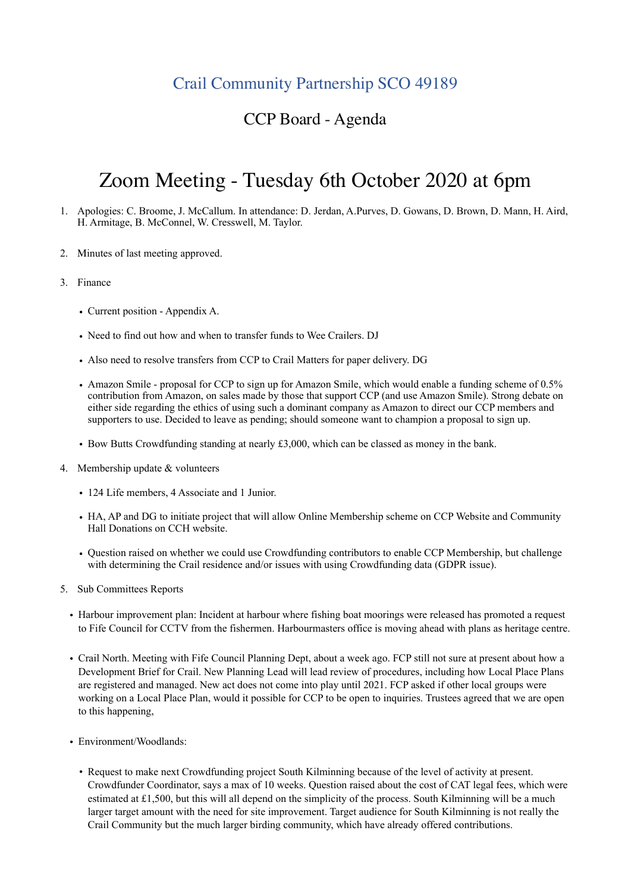## Crail Community Partnership SCO 49189

## CCP Board - Agenda

## Zoom Meeting - Tuesday 6th October 2020 at 6pm

- 1. Apologies: C. Broome, J. McCallum. In attendance: D. Jerdan, A.Purves, D. Gowans, D. Brown, D. Mann, H. Aird, H. Armitage, B. McConnel, W. Cresswell, M. Taylor.
- 2. Minutes of last meeting approved.
- 3. Finance
	- Current position Appendix A.
	- Need to find out how and when to transfer funds to Wee Crailers. DJ
	- Also need to resolve transfers from CCP to Crail Matters for paper delivery. DG
	- Amazon Smile proposal for CCP to sign up for Amazon Smile, which would enable a funding scheme of 0.5% contribution from Amazon, on sales made by those that support CCP (and use Amazon Smile). Strong debate on either side regarding the ethics of using such a dominant company as Amazon to direct our CCP members and supporters to use. Decided to leave as pending; should someone want to champion a proposal to sign up.
	- Bow Butts Crowdfunding standing at nearly £3,000, which can be classed as money in the bank.
- 4. Membership update & volunteers
	- 124 Life members, 4 Associate and 1 Junior.
	- HA, AP and DG to initiate project that will allow Online Membership scheme on CCP Website and Community Hall Donations on CCH website.
	- Question raised on whether we could use Crowdfunding contributors to enable CCP Membership, but challenge with determining the Crail residence and/or issues with using Crowdfunding data (GDPR issue).
- 5. Sub Committees Reports
	- Harbour improvement plan: Incident at harbour where fishing boat moorings were released has promoted a request to Fife Council for CCTV from the fishermen. Harbourmasters office is moving ahead with plans as heritage centre.
	- Crail North. Meeting with Fife Council Planning Dept, about a week ago. FCP still not sure at present about how a Development Brief for Crail. New Planning Lead will lead review of procedures, including how Local Place Plans are registered and managed. New act does not come into play until 2021. FCP asked if other local groups were working on a Local Place Plan, would it possible for CCP to be open to inquiries. Trustees agreed that we are open to this happening,
	- Environment/Woodlands:
		- Request to make next Crowdfunding project South Kilminning because of the level of activity at present. Crowdfunder Coordinator, says a max of 10 weeks. Question raised about the cost of CAT legal fees, which were estimated at £1,500, but this will all depend on the simplicity of the process. South Kilminning will be a much larger target amount with the need for site improvement. Target audience for South Kilminning is not really the Crail Community but the much larger birding community, which have already offered contributions.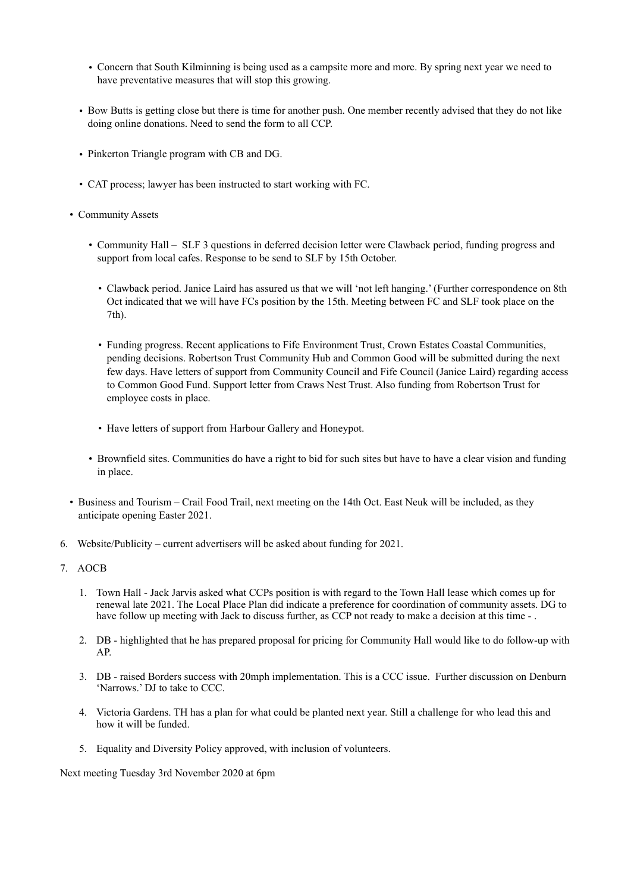- Concern that South Kilminning is being used as a campsite more and more. By spring next year we need to have preventative measures that will stop this growing.
- Bow Butts is getting close but there is time for another push. One member recently advised that they do not like doing online donations. Need to send the form to all CCP.
- Pinkerton Triangle program with CB and DG.
- CAT process; lawyer has been instructed to start working with FC.
- Community Assets
	- Community Hall SLF 3 questions in deferred decision letter were Clawback period, funding progress and support from local cafes. Response to be send to SLF by 15th October.
		- Clawback period. Janice Laird has assured us that we will 'not left hanging.' (Further correspondence on 8th Oct indicated that we will have FCs position by the 15th. Meeting between FC and SLF took place on the 7th).
		- Funding progress. Recent applications to Fife Environment Trust, Crown Estates Coastal Communities, pending decisions. Robertson Trust Community Hub and Common Good will be submitted during the next few days. Have letters of support from Community Council and Fife Council (Janice Laird) regarding access to Common Good Fund. Support letter from Craws Nest Trust. Also funding from Robertson Trust for employee costs in place.
		- Have letters of support from Harbour Gallery and Honeypot.
	- Brownfield sites. Communities do have a right to bid for such sites but have to have a clear vision and funding in place.
- Business and Tourism Crail Food Trail, next meeting on the 14th Oct. East Neuk will be included, as they anticipate opening Easter 2021.
- 6. Website/Publicity current advertisers will be asked about funding for 2021.
- 7. AOCB
	- 1. Town Hall Jack Jarvis asked what CCPs position is with regard to the Town Hall lease which comes up for renewal late 2021. The Local Place Plan did indicate a preference for coordination of community assets. DG to have follow up meeting with Jack to discuss further, as CCP not ready to make a decision at this time -.
	- 2. DB highlighted that he has prepared proposal for pricing for Community Hall would like to do follow-up with AP.
	- 3. DB raised Borders success with 20mph implementation. This is a CCC issue. Further discussion on Denburn 'Narrows.' DJ to take to CCC.
	- 4. Victoria Gardens. TH has a plan for what could be planted next year. Still a challenge for who lead this and how it will be funded.
	- 5. Equality and Diversity Policy approved, with inclusion of volunteers.

Next meeting Tuesday 3rd November 2020 at 6pm